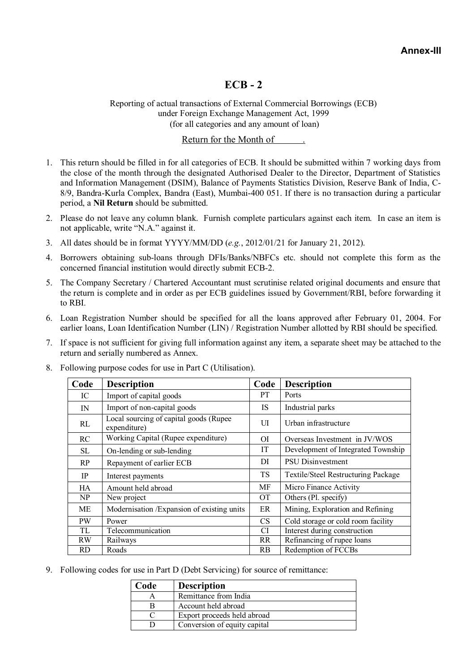# **ECB - 2**

Reporting of actual transactions of External Commercial Borrowings (ECB) under Foreign Exchange Management Act, 1999 (for all categories and any amount of loan)

#### Return for the Month of .

- 1. This return should be filled in for all categories of ECB. It should be submitted within 7 working days from the close of the month through the designated Authorised Dealer to the Director, Department of Statistics and Information Management (DSIM), Balance of Payments Statistics Division, Reserve Bank of India, C-8/9, Bandra-Kurla Complex, Bandra (East), Mumbai-400 051. If there is no transaction during a particular period, a **Nil Return** should be submitted.
- 2. Please do not leave any column blank. Furnish complete particulars against each item. In case an item is not applicable, write "N.A." against it.
- 3. All dates should be in format YYYY/MM/DD (*e.g.*, 2012/01/21 for January 21, 2012).
- 4. Borrowers obtaining sub-loans through DFIs/Banks/NBFCs etc. should not complete this form as the concerned financial institution would directly submit ECB-2.
- 5. The Company Secretary / Chartered Accountant must scrutinise related original documents and ensure that the return is complete and in order as per ECB guidelines issued by Government/RBI, before forwarding it to RBI.
- 6. Loan Registration Number should be specified for all the loans approved after February 01, 2004. For earlier loans, Loan Identification Number (LIN) / Registration Number allotted by RBI should be specified.
- 7. If space is not sufficient for giving full information against any item, a separate sheet may be attached to the return and serially numbered as Annex.

| Code      | <b>Description</b>                                      | Code      | <b>Description</b>                  |
|-----------|---------------------------------------------------------|-----------|-------------------------------------|
| IC        | Import of capital goods                                 | PT.       | Ports                               |
| IN        | Import of non-capital goods                             | <b>IS</b> | Industrial parks                    |
| RL        | Local sourcing of capital goods (Rupee)<br>expenditure) | UI        | Urban infrastructure                |
| <b>RC</b> | Working Capital (Rupee expenditure)                     | ΟI        | Overseas Investment in JV/WOS       |
| SL        | On-lending or sub-lending                               | IT        | Development of Integrated Township  |
| RP        | Repayment of earlier ECB                                | DI        | <b>PSU Disinvestment</b>            |
| <b>IP</b> | Interest payments                                       | <b>TS</b> | Textile/Steel Restructuring Package |
| HA        | Amount held abroad                                      | МF        | Micro Finance Activity              |
| NP        | New project                                             | <b>OT</b> | Others (Pl. specify)                |
| МE        | Modernisation /Expansion of existing units              | ER        | Mining, Exploration and Refining    |
| PW        | Power                                                   | <b>CS</b> | Cold storage or cold room facility  |
| TL        | Telecommunication                                       | CI        | Interest during construction        |
| RW        | Railways                                                | <b>RR</b> | Refinancing of rupee loans          |
| RD.       | Roads                                                   | RB.       | Redemption of FCCBs                 |

8. Following purpose codes for use in Part C (Utilisation).

9. Following codes for use in Part D (Debt Servicing) for source of remittance:

| Code | <b>Description</b>           |
|------|------------------------------|
|      | Remittance from India        |
|      | Account held abroad          |
|      | Export proceeds held abroad  |
|      | Conversion of equity capital |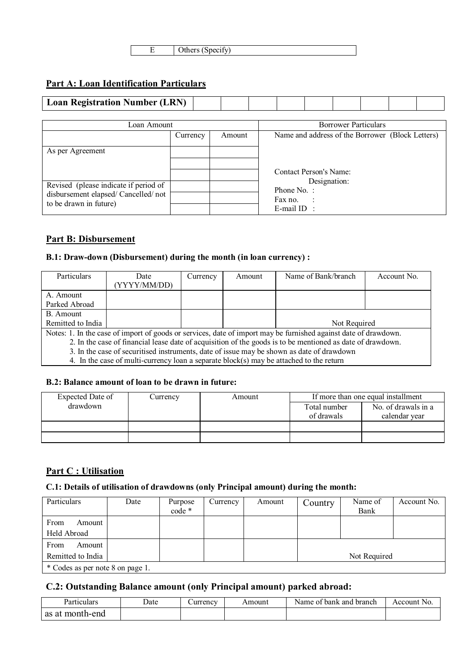| .<br>$\sigma$ <i>ares</i> |
|---------------------------|

## **Part A: Loan Identification Particulars**

| Loan Registration Number (LRN) |  |  |  |  |  |
|--------------------------------|--|--|--|--|--|
|                                |  |  |  |  |  |

| Loan Amount                                                                                           |          | <b>Borrower Particulars</b> |                                                                                |  |
|-------------------------------------------------------------------------------------------------------|----------|-----------------------------|--------------------------------------------------------------------------------|--|
|                                                                                                       | Currency | Amount                      | Name and address of the Borrower (Block Letters)                               |  |
| As per Agreement                                                                                      |          |                             |                                                                                |  |
|                                                                                                       |          |                             | Contact Person's Name:                                                         |  |
| Revised (please indicate if period of<br>disbursement elapsed/Cancelled/not<br>to be drawn in future) |          |                             | Designation:<br>Phone No. $\therefore$<br>Fax no.<br><b>COL</b><br>E-mail ID : |  |

## **Part B: Disbursement**

# **B.1: Draw-down (Disbursement) during the month (in loan currency) :**

| Particulars                                                                                                | Date         | Currency | Amount | Name of Bank/branch                                                                                             | Account No. |  |  |
|------------------------------------------------------------------------------------------------------------|--------------|----------|--------|-----------------------------------------------------------------------------------------------------------------|-------------|--|--|
|                                                                                                            | (YYYY/MM/DD) |          |        |                                                                                                                 |             |  |  |
| A. Amount                                                                                                  |              |          |        |                                                                                                                 |             |  |  |
| Parked Abroad                                                                                              |              |          |        |                                                                                                                 |             |  |  |
| B. Amount                                                                                                  |              |          |        |                                                                                                                 |             |  |  |
| Remitted to India                                                                                          |              |          |        | Not Required                                                                                                    |             |  |  |
|                                                                                                            |              |          |        | Notes: 1. In the case of import of goods or services, date of import may be furnished against date of drawdown. |             |  |  |
| 2. In the case of financial lease date of acquisition of the goods is to be mentioned as date of drawdown. |              |          |        |                                                                                                                 |             |  |  |
| 3. In the case of securitised instruments, date of issue may be shown as date of drawdown                  |              |          |        |                                                                                                                 |             |  |  |
| 4. In the case of multi-currency loan a separate block(s) may be attached to the return                    |              |          |        |                                                                                                                 |             |  |  |

#### **B.2: Balance amount of loan to be drawn in future:**

| Expected Date of | Currency | Amount | If more than one equal installment  |               |
|------------------|----------|--------|-------------------------------------|---------------|
| drawdown         |          |        | No. of drawals in a<br>Total number |               |
|                  |          |        | of drawals                          | calendar year |
|                  |          |        |                                     |               |
|                  |          |        |                                     |               |

## **Part C : Utilisation**

#### **C.1: Details of utilisation of drawdowns (only Principal amount) during the month:**

| Particulars                      | Date | Purpose<br>$code *$ | Currency | Amount | Country | Name of<br>Bank | Account No. |
|----------------------------------|------|---------------------|----------|--------|---------|-----------------|-------------|
| From<br>Amount                   |      |                     |          |        |         |                 |             |
| Held Abroad                      |      |                     |          |        |         |                 |             |
| From<br>Amount                   |      |                     |          |        |         |                 |             |
| Remitted to India                |      |                     |          |        |         | Not Required    |             |
| * Codes as per note 8 on page 1. |      |                     |          |        |         |                 |             |

# **C.2: Outstanding Balance amount (only Principal amount) parked abroad:**

| <b>Particulars</b> | Date | Jurrency | Amoun† | branch<br>⊤bank and<br>Name of | Account No. |
|--------------------|------|----------|--------|--------------------------------|-------------|
| as at month-end    |      |          |        |                                |             |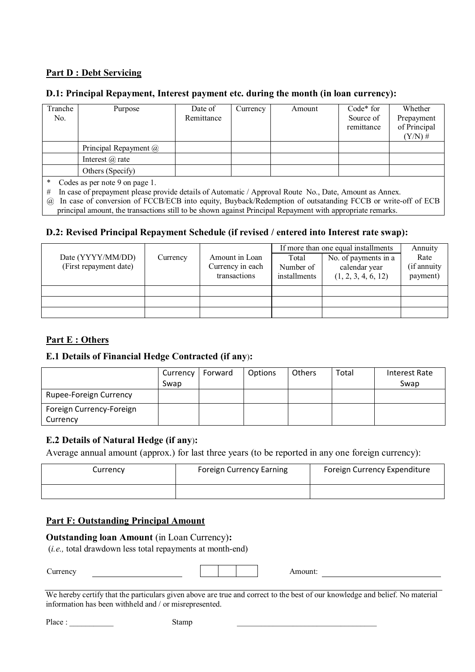# **Part D : Debt Servicing**

#### **D.1: Principal Repayment, Interest payment etc. during the month (in loan currency):**

| Tranche<br>No. | Purpose                        | Date of<br>Remittance | Currency | Amount | $Code* for$<br>Source of<br>remittance | Whether<br>Prepayment<br>of Principal<br>$(Y/N)$ # |  |  |  |
|----------------|--------------------------------|-----------------------|----------|--------|----------------------------------------|----------------------------------------------------|--|--|--|
|                | Principal Repayment @          |                       |          |        |                                        |                                                    |  |  |  |
|                | Interest $\omega$ rate         |                       |          |        |                                        |                                                    |  |  |  |
|                | Others (Specify)               |                       |          |        |                                        |                                                    |  |  |  |
| ∗              | Codes as per note 9 on page 1. |                       |          |        |                                        |                                                    |  |  |  |

# In case of prepayment please provide details of Automatic / Approval Route No., Date, Amount as Annex.

@ In case of conversion of FCCB/ECB into equity, Buyback/Redemption of outsatanding FCCB or write-off of ECB principal amount, the transactions still to be shown against Principal Repayment with appropriate remarks.

# **D.2: Revised Principal Repayment Schedule (if revised / entered into Interest rate swap):**

|                                             |                                                                |  | If more than one equal installments | Annuity                                                      |                                  |  |
|---------------------------------------------|----------------------------------------------------------------|--|-------------------------------------|--------------------------------------------------------------|----------------------------------|--|
| Date (YYYY/MM/DD)<br>(First repayment date) | Amount in Loan<br>Currency<br>Currency in each<br>transactions |  | Total<br>Number of<br>installments  | No. of payments in a<br>calendar year<br>(1, 2, 3, 4, 6, 12) | Rate<br>(if annuity)<br>payment) |  |
|                                             |                                                                |  |                                     |                                                              |                                  |  |
|                                             |                                                                |  |                                     |                                                              |                                  |  |
|                                             |                                                                |  |                                     |                                                              |                                  |  |

## **Part E : Others**

## **E.1 Details of Financial Hedge Contracted (if any**)**:**

|                          | Currency | Forward | Options | <b>Others</b> | Total | Interest Rate |
|--------------------------|----------|---------|---------|---------------|-------|---------------|
|                          | Swap     |         |         |               |       | Swap          |
| Rupee-Foreign Currency   |          |         |         |               |       |               |
| Foreign Currency-Foreign |          |         |         |               |       |               |
| Currency                 |          |         |         |               |       |               |

## **E.2 Details of Natural Hedge (if any**)**:**

Average annual amount (approx.) for last three years (to be reported in any one foreign currency):

| Currencv | <b>Foreign Currency Earning</b> | Foreign Currency Expenditure |
|----------|---------------------------------|------------------------------|
|          |                                 |                              |

## **Part F: Outstanding Principal Amount**

#### **Outstanding loan Amount** (in Loan Currency)**:**

(*i.e.,* total drawdown less total repayments at month-end)

| $\overline{\phantom{0}}$<br>$C$ urrency |  |  |  |  | Amount: |
|-----------------------------------------|--|--|--|--|---------|
|-----------------------------------------|--|--|--|--|---------|

We hereby certify that the particulars given above are true and correct to the best of our knowledge and belief. No material information has been withheld and / or misrepresented.

| Place | stamp |  |
|-------|-------|--|
|       |       |  |